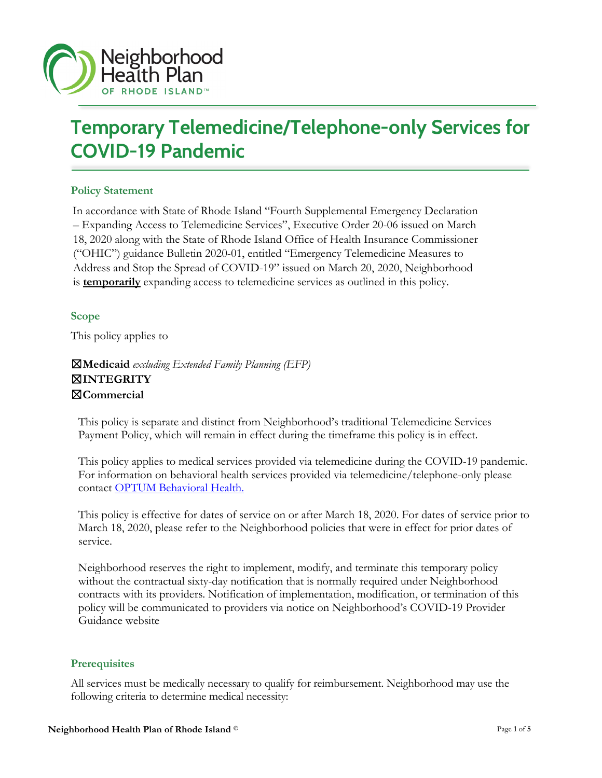

# **Temporary Telemedicine/Telephone-only Services for COVID-19 Pandemic**

## **Policy Statement**

In accordance with State of Rhode Island "Fourth Supplemental Emergency Declaration – Expanding Access to Telemedicine Services", Executive Order 20-06 issued on March 18, 2020 along with the State of Rhode Island Office of Health Insurance Commissioner ("OHIC") guidance Bulletin 2020-01, entitled "Emergency Telemedicine Measures to Address and Stop the Spread of COVID-19" issued on March 20, 2020, Neighborhood is **temporarily** expanding access to telemedicine services as outlined in this policy.

#### **Scope**

This policy applies to

☒**Medicaid** *excluding Extended Family Planning (EFP)* ☒**INTEGRITY** ☒**Commercial**

This policy is separate and distinct from Neighborhood's traditional Telemedicine Services Payment Policy, which will remain in effect during the timeframe this policy is in effect.

This policy applies to medical services provided via telemedicine during the COVID-19 pandemic. For information on behavioral health services provided via telemedicine/telephone-only please contact [OPTUM Behavioral](https://www.providerexpress.com/content/ope-provexpr/us/en.html) [Health.](https://www.providerexpress.com/content/ope-provexpr/us/en.html) 

This policy is effective for dates of service on or after March 18, 2020. For dates of service prior to March 18, 2020, please refer to the Neighborhood policies that were in effect for prior dates of service.

Neighborhood reserves the right to implement, modify, and terminate this temporary policy without the contractual sixty-day notification that is normally required under Neighborhood contracts with its providers. Notification of implementation, modification, or termination of this policy will be communicated to providers via notice on Neighborhood's COVID-19 Provider Guidance website

#### **Prerequisites**

All services must be medically necessary to qualify for reimbursement. Neighborhood may use the following criteria to determine medical necessity: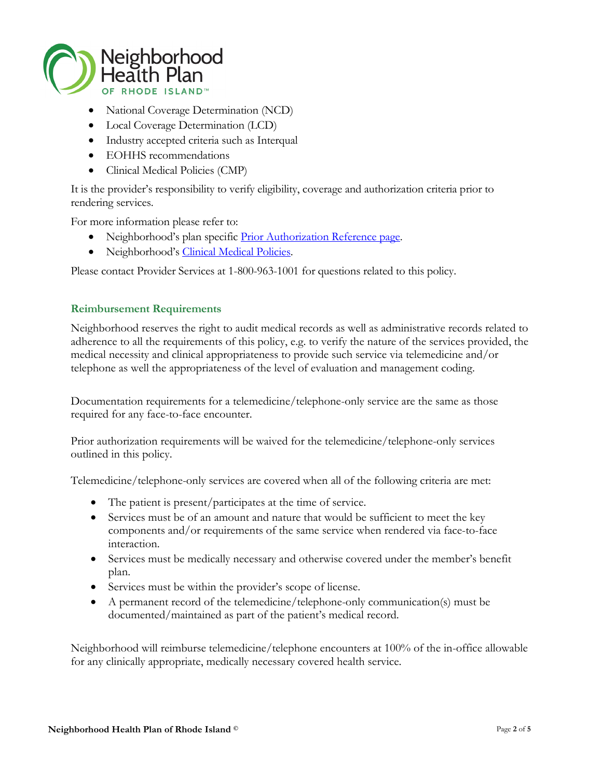

- National Coverage Determination (NCD)
- Local Coverage Determination (LCD)
- Industry accepted criteria such as Interqual
- EOHHS recommendations
- Clinical Medical Policies (CMP)

It is the provider's responsibility to verify eligibility, coverage and authorization criteria prior to rendering services.

For more information please refer to:

- Neighborhood's plan specific [Prior Authorization Reference page.](https://www.nhpri.org/providers/policies-and-guidelines/prior-authorization-reference-guide/)
- Neighborhood's [Clinical Medical Policies.](https://www.nhpri.org/providers/policies-and-guidelines/clinical-medical-policies/)

Please contact Provider Services at 1-800-963-1001 for questions related to this policy.

#### **Reimbursement Requirements**

Neighborhood reserves the right to audit medical records as well as administrative records related to adherence to all the requirements of this policy, e.g. to verify the nature of the services provided, the medical necessity and clinical appropriateness to provide such service via telemedicine and/or telephone as well the appropriateness of the level of evaluation and management coding.

Documentation requirements for a telemedicine/telephone-only service are the same as those required for any face-to-face encounter.

Prior authorization requirements will be waived for the telemedicine/telephone-only services outlined in this policy.

Telemedicine/telephone-only services are covered when all of the following criteria are met:

- The patient is present/participates at the time of service.
- Services must be of an amount and nature that would be sufficient to meet the key components and/or requirements of the same service when rendered via face-to-face interaction.
- Services must be medically necessary and otherwise covered under the member's benefit plan.
- Services must be within the provider's scope of license.
- A permanent record of the telemedicine/telephone-only communication(s) must be documented/maintained as part of the patient's medical record.

Neighborhood will reimburse telemedicine/telephone encounters at 100% of the in-office allowable for any clinically appropriate, medically necessary covered health service.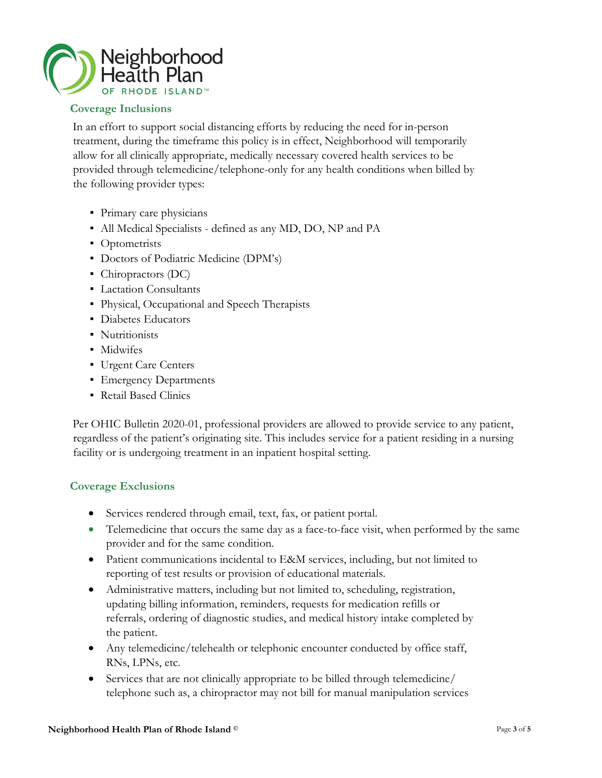

# **Coverage Inclusions**

In an effort to support social distancing efforts by reducing the need for in-person treatment, during the timeframe this policy is in effect, Neighborhood will temporarily allow for all clinically appropriate, medically necessary covered health services to be provided through telemedicine/telephone-only for any health conditions when billed by the following provider types:

- Primary care physicians
- All Medical Specialists defined as any MD, DO, NP and PA
- Optometrists
- Doctors of Podiatric Medicine (DPM's)
- Chiropractors (DC)
- **Lactation Consultants**
- Physical, Occupational and Speech Therapists
- Diabetes Educators
- Nutritionists
- Midwifes
- Urgent Care Centers
- Emergency Departments
- Retail Based Clinics

Per OHIC Bulletin 2020-01, professional providers are allowed to provide service to any patient, regardless of the patient's originating site. This includes service for a patient residing in a nursing facility or is undergoing treatment in an inpatient hospital setting.

## **Coverage Exclusions**

- Services rendered through email, text, fax, or patient portal.
- Telemedicine that occurs the same day as a face-to-face visit, when performed by the same provider and for the same condition.
- Patient communications incidental to E&M services, including, but not limited to reporting of test results or provision of educational materials.
- Administrative matters, including but not limited to, scheduling, registration, updating billing information, reminders, requests for medication refills or referrals, ordering of diagnostic studies, and medical history intake completed by the patient.
- Any telemedicine/telehealth or telephonic encounter conducted by office staff, RNs, LPNs, etc.
- Services that are not clinically appropriate to be billed through telemedicine/ telephone such as, a chiropractor may not bill for manual manipulation services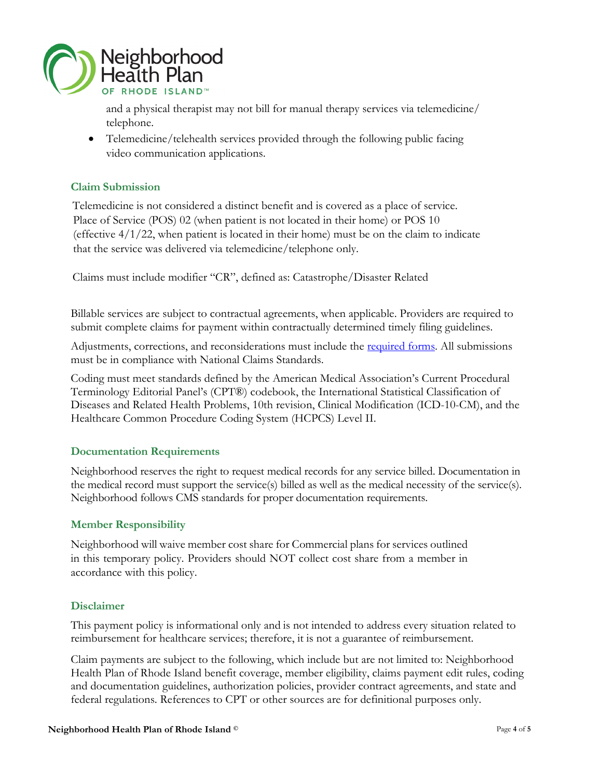

and a physical therapist may not bill for manual therapy services via telemedicine/ telephone.

• Telemedicine/telehealth services provided through the following public facing video communication applications.

## **Claim Submission**

Telemedicine is not considered a distinct benefit and is covered as a place of service. Place of Service (POS) 02 (when patient is not located in their home) or POS 10 (effective  $4/1/22$ , when patient is located in their home) must be on the claim to indicate that the service was delivered via telemedicine/telephone only.

Claims must include modifier "CR", defined as: Catastrophe/Disaster Related

Billable services are subject to contractual agreements, when applicable. Providers are required to submit complete claims for payment within contractually determined timely filing guidelines.

Adjustments, corrections, and reconsiderations must include the [required forms.](https://www.nhpri.org/providers/provider-resources/Forms/) All submissions must be in compliance with National Claims Standards.

Coding must meet standards defined by the American Medical Association's Current Procedural Terminology Editorial Panel's (CPT®) codebook, the International Statistical Classification of Diseases and Related Health Problems, 10th revision, Clinical Modification (ICD-10-CM), and the Healthcare Common Procedure Coding System (HCPCS) Level II.

## **Documentation Requirements**

Neighborhood reserves the right to request medical records for any service billed. Documentation in the medical record must support the service(s) billed as well as the medical necessity of the service(s). Neighborhood follows CMS standards for proper documentation requirements.

#### **Member Responsibility**

Neighborhood will waive member cost share for Commercial plans for services outlined in this temporary policy. Providers should NOT collect cost share from a member in accordance with this policy.

#### **Disclaimer**

This payment policy is informational only and is not intended to address every situation related to reimbursement for healthcare services; therefore, it is not a guarantee of reimbursement.

Claim payments are subject to the following, which include but are not limited to: Neighborhood Health Plan of Rhode Island benefit coverage, member eligibility, claims payment edit rules, coding and documentation guidelines, authorization policies, provider contract agreements, and state and federal regulations. References to CPT or other sources are for definitional purposes only.